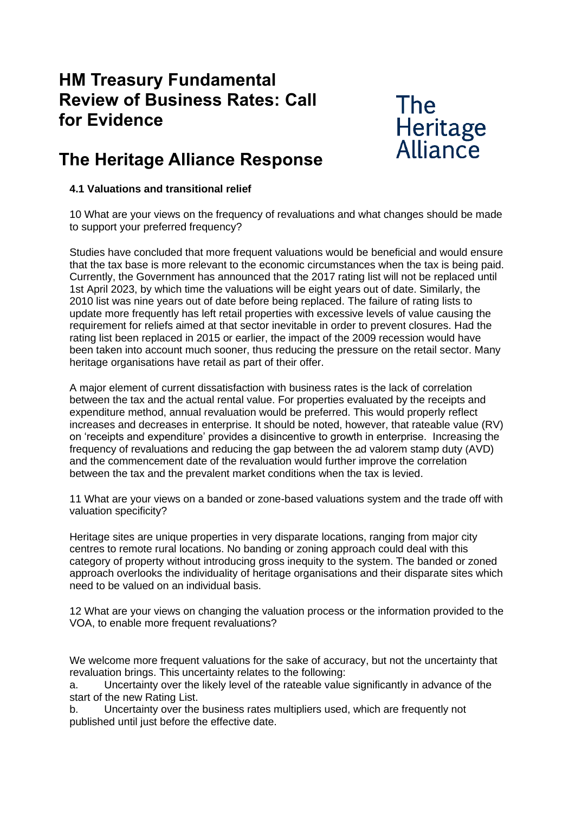## **HM Treasury Fundamental Review of Business Rates: Call for Evidence**

# **The** Heritage Alliance

## **The Heritage Alliance Response**

### **4.1 Valuations and transitional relief**

10 What are your views on the frequency of revaluations and what changes should be made to support your preferred frequency?

Studies have concluded that more frequent valuations would be beneficial and would ensure that the tax base is more relevant to the economic circumstances when the tax is being paid. Currently, the Government has announced that the 2017 rating list will not be replaced until 1st April 2023, by which time the valuations will be eight years out of date. Similarly, the 2010 list was nine years out of date before being replaced. The failure of rating lists to update more frequently has left retail properties with excessive levels of value causing the requirement for reliefs aimed at that sector inevitable in order to prevent closures. Had the rating list been replaced in 2015 or earlier, the impact of the 2009 recession would have been taken into account much sooner, thus reducing the pressure on the retail sector. Many heritage organisations have retail as part of their offer.

A major element of current dissatisfaction with business rates is the lack of correlation between the tax and the actual rental value. For properties evaluated by the receipts and expenditure method, annual revaluation would be preferred. This would properly reflect increases and decreases in enterprise. It should be noted, however, that rateable value (RV) on 'receipts and expenditure' provides a disincentive to growth in enterprise. Increasing the frequency of revaluations and reducing the gap between the ad valorem stamp duty (AVD) and the commencement date of the revaluation would further improve the correlation between the tax and the prevalent market conditions when the tax is levied.

11 What are your views on a banded or zone-based valuations system and the trade off with valuation specificity?

Heritage sites are unique properties in very disparate locations, ranging from major city centres to remote rural locations. No banding or zoning approach could deal with this category of property without introducing gross inequity to the system. The banded or zoned approach overlooks the individuality of heritage organisations and their disparate sites which need to be valued on an individual basis.

12 What are your views on changing the valuation process or the information provided to the VOA, to enable more frequent revaluations?

We welcome more frequent valuations for the sake of accuracy, but not the uncertainty that revaluation brings. This uncertainty relates to the following:

a. Uncertainty over the likely level of the rateable value significantly in advance of the start of the new Rating List.

b. Uncertainty over the business rates multipliers used, which are frequently not published until just before the effective date.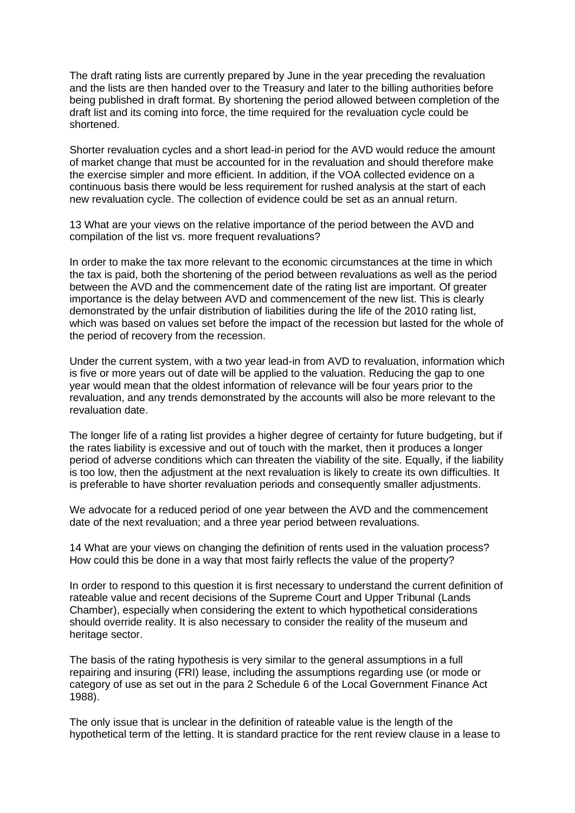The draft rating lists are currently prepared by June in the year preceding the revaluation and the lists are then handed over to the Treasury and later to the billing authorities before being published in draft format. By shortening the period allowed between completion of the draft list and its coming into force, the time required for the revaluation cycle could be shortened.

Shorter revaluation cycles and a short lead-in period for the AVD would reduce the amount of market change that must be accounted for in the revaluation and should therefore make the exercise simpler and more efficient. In addition, if the VOA collected evidence on a continuous basis there would be less requirement for rushed analysis at the start of each new revaluation cycle. The collection of evidence could be set as an annual return.

13 What are your views on the relative importance of the period between the AVD and compilation of the list vs. more frequent revaluations?

In order to make the tax more relevant to the economic circumstances at the time in which the tax is paid, both the shortening of the period between revaluations as well as the period between the AVD and the commencement date of the rating list are important. Of greater importance is the delay between AVD and commencement of the new list. This is clearly demonstrated by the unfair distribution of liabilities during the life of the 2010 rating list, which was based on values set before the impact of the recession but lasted for the whole of the period of recovery from the recession.

Under the current system, with a two year lead-in from AVD to revaluation, information which is five or more years out of date will be applied to the valuation. Reducing the gap to one year would mean that the oldest information of relevance will be four years prior to the revaluation, and any trends demonstrated by the accounts will also be more relevant to the revaluation date.

The longer life of a rating list provides a higher degree of certainty for future budgeting, but if the rates liability is excessive and out of touch with the market, then it produces a longer period of adverse conditions which can threaten the viability of the site. Equally, if the liability is too low, then the adjustment at the next revaluation is likely to create its own difficulties. It is preferable to have shorter revaluation periods and consequently smaller adjustments.

We advocate for a reduced period of one year between the AVD and the commencement date of the next revaluation; and a three year period between revaluations.

14 What are your views on changing the definition of rents used in the valuation process? How could this be done in a way that most fairly reflects the value of the property?

In order to respond to this question it is first necessary to understand the current definition of rateable value and recent decisions of the Supreme Court and Upper Tribunal (Lands Chamber), especially when considering the extent to which hypothetical considerations should override reality. It is also necessary to consider the reality of the museum and heritage sector.

The basis of the rating hypothesis is very similar to the general assumptions in a full repairing and insuring (FRI) lease, including the assumptions regarding use (or mode or category of use as set out in the para 2 Schedule 6 of the Local Government Finance Act 1988).

The only issue that is unclear in the definition of rateable value is the length of the hypothetical term of the letting. It is standard practice for the rent review clause in a lease to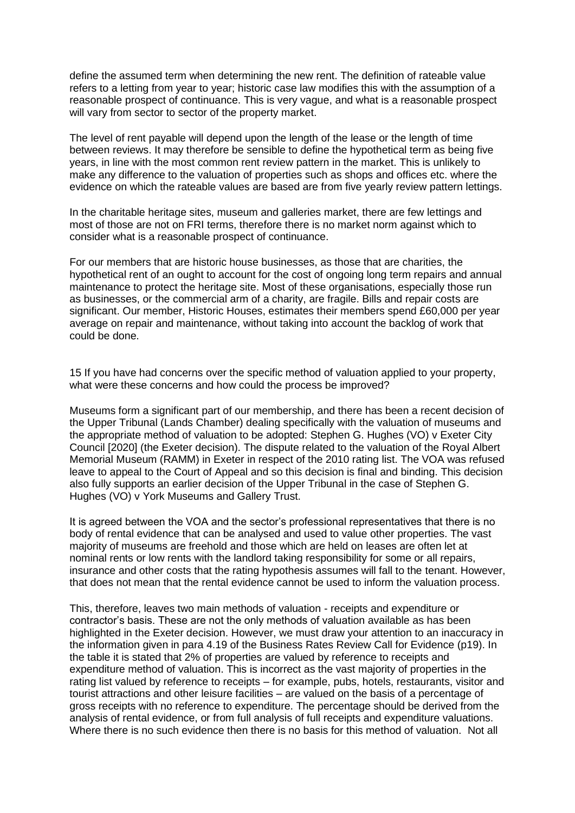define the assumed term when determining the new rent. The definition of rateable value refers to a letting from year to year; historic case law modifies this with the assumption of a reasonable prospect of continuance. This is very vague, and what is a reasonable prospect will vary from sector to sector of the property market.

The level of rent payable will depend upon the length of the lease or the length of time between reviews. It may therefore be sensible to define the hypothetical term as being five years, in line with the most common rent review pattern in the market. This is unlikely to make any difference to the valuation of properties such as shops and offices etc. where the evidence on which the rateable values are based are from five yearly review pattern lettings.

In the charitable heritage sites, museum and galleries market, there are few lettings and most of those are not on FRI terms, therefore there is no market norm against which to consider what is a reasonable prospect of continuance.

For our members that are historic house businesses, as those that are charities, the hypothetical rent of an ought to account for the cost of ongoing long term repairs and annual maintenance to protect the heritage site. Most of these organisations, especially those run as businesses, or the commercial arm of a charity, are fragile. Bills and repair costs are significant. Our member, Historic Houses, estimates their members spend £60,000 per year average on repair and maintenance, without taking into account the backlog of work that could be done.

15 If you have had concerns over the specific method of valuation applied to your property, what were these concerns and how could the process be improved?

Museums form a significant part of our membership, and there has been a recent decision of the Upper Tribunal (Lands Chamber) dealing specifically with the valuation of museums and the appropriate method of valuation to be adopted: Stephen G. Hughes (VO) v Exeter City Council [2020] (the Exeter decision). The dispute related to the valuation of the Royal Albert Memorial Museum (RAMM) in Exeter in respect of the 2010 rating list. The VOA was refused leave to appeal to the Court of Appeal and so this decision is final and binding. This decision also fully supports an earlier decision of the Upper Tribunal in the case of Stephen G. Hughes (VO) v York Museums and Gallery Trust.

It is agreed between the VOA and the sector's professional representatives that there is no body of rental evidence that can be analysed and used to value other properties. The vast majority of museums are freehold and those which are held on leases are often let at nominal rents or low rents with the landlord taking responsibility for some or all repairs, insurance and other costs that the rating hypothesis assumes will fall to the tenant. However, that does not mean that the rental evidence cannot be used to inform the valuation process.

This, therefore, leaves two main methods of valuation - receipts and expenditure or contractor's basis. These are not the only methods of valuation available as has been highlighted in the Exeter decision. However, we must draw your attention to an inaccuracy in the information given in para 4.19 of the Business Rates Review Call for Evidence (p19). In the table it is stated that 2% of properties are valued by reference to receipts and expenditure method of valuation. This is incorrect as the vast majority of properties in the rating list valued by reference to receipts – for example, pubs, hotels, restaurants, visitor and tourist attractions and other leisure facilities – are valued on the basis of a percentage of gross receipts with no reference to expenditure. The percentage should be derived from the analysis of rental evidence, or from full analysis of full receipts and expenditure valuations. Where there is no such evidence then there is no basis for this method of valuation. Not all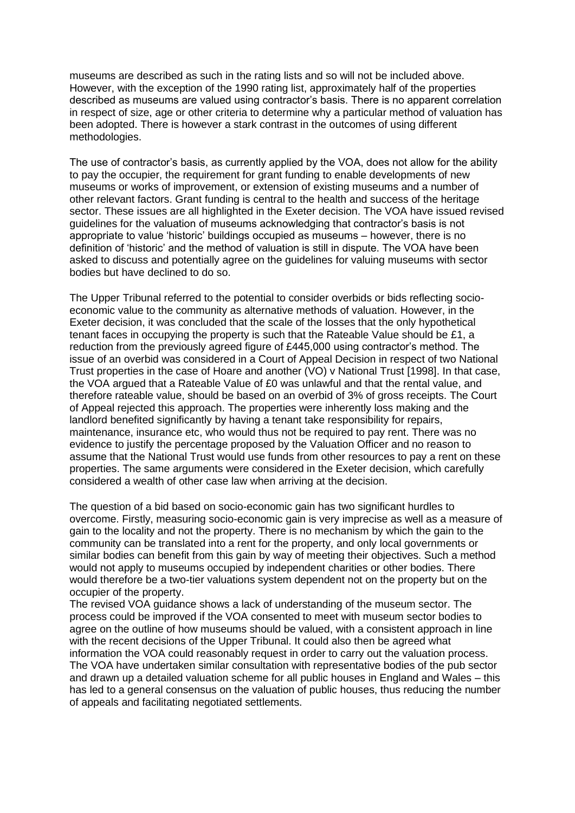museums are described as such in the rating lists and so will not be included above. However, with the exception of the 1990 rating list, approximately half of the properties described as museums are valued using contractor's basis. There is no apparent correlation in respect of size, age or other criteria to determine why a particular method of valuation has been adopted. There is however a stark contrast in the outcomes of using different methodologies.

The use of contractor's basis, as currently applied by the VOA, does not allow for the ability to pay the occupier, the requirement for grant funding to enable developments of new museums or works of improvement, or extension of existing museums and a number of other relevant factors. Grant funding is central to the health and success of the heritage sector. These issues are all highlighted in the Exeter decision. The VOA have issued revised guidelines for the valuation of museums acknowledging that contractor's basis is not appropriate to value 'historic' buildings occupied as museums – however, there is no definition of 'historic' and the method of valuation is still in dispute. The VOA have been asked to discuss and potentially agree on the guidelines for valuing museums with sector bodies but have declined to do so.

The Upper Tribunal referred to the potential to consider overbids or bids reflecting socioeconomic value to the community as alternative methods of valuation. However, in the Exeter decision, it was concluded that the scale of the losses that the only hypothetical tenant faces in occupying the property is such that the Rateable Value should be £1, a reduction from the previously agreed figure of £445,000 using contractor's method. The issue of an overbid was considered in a Court of Appeal Decision in respect of two National Trust properties in the case of Hoare and another (VO) v National Trust [1998]. In that case, the VOA argued that a Rateable Value of £0 was unlawful and that the rental value, and therefore rateable value, should be based on an overbid of 3% of gross receipts. The Court of Appeal rejected this approach. The properties were inherently loss making and the landlord benefited significantly by having a tenant take responsibility for repairs, maintenance, insurance etc, who would thus not be required to pay rent. There was no evidence to justify the percentage proposed by the Valuation Officer and no reason to assume that the National Trust would use funds from other resources to pay a rent on these properties. The same arguments were considered in the Exeter decision, which carefully considered a wealth of other case law when arriving at the decision.

The question of a bid based on socio-economic gain has two significant hurdles to overcome. Firstly, measuring socio-economic gain is very imprecise as well as a measure of gain to the locality and not the property. There is no mechanism by which the gain to the community can be translated into a rent for the property, and only local governments or similar bodies can benefit from this gain by way of meeting their objectives. Such a method would not apply to museums occupied by independent charities or other bodies. There would therefore be a two-tier valuations system dependent not on the property but on the occupier of the property.

The revised VOA guidance shows a lack of understanding of the museum sector. The process could be improved if the VOA consented to meet with museum sector bodies to agree on the outline of how museums should be valued, with a consistent approach in line with the recent decisions of the Upper Tribunal. It could also then be agreed what information the VOA could reasonably request in order to carry out the valuation process. The VOA have undertaken similar consultation with representative bodies of the pub sector and drawn up a detailed valuation scheme for all public houses in England and Wales – this has led to a general consensus on the valuation of public houses, thus reducing the number of appeals and facilitating negotiated settlements.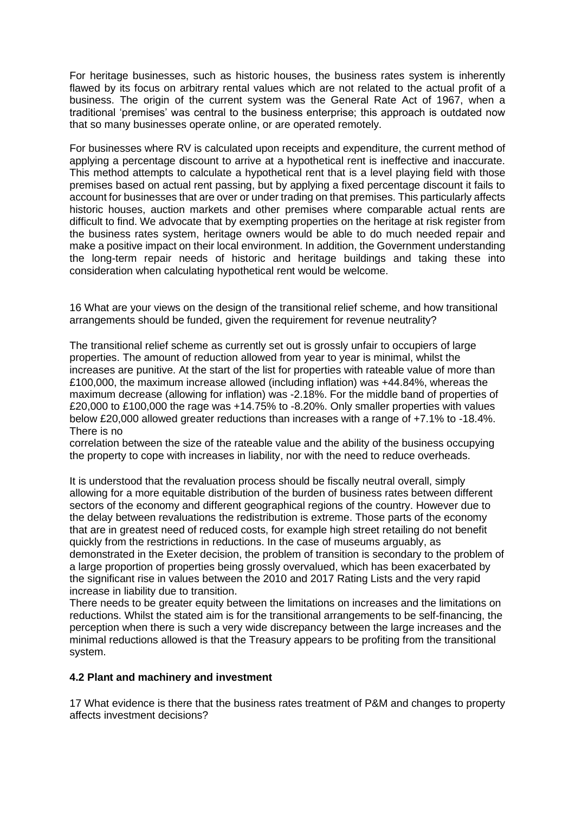For heritage businesses, such as historic houses, the business rates system is inherently flawed by its focus on arbitrary rental values which are not related to the actual profit of a business. The origin of the current system was the General Rate Act of 1967, when a traditional 'premises' was central to the business enterprise; this approach is outdated now that so many businesses operate online, or are operated remotely.

For businesses where RV is calculated upon receipts and expenditure, the current method of applying a percentage discount to arrive at a hypothetical rent is ineffective and inaccurate. This method attempts to calculate a hypothetical rent that is a level playing field with those premises based on actual rent passing, but by applying a fixed percentage discount it fails to account for businesses that are over or under trading on that premises. This particularly affects historic houses, auction markets and other premises where comparable actual rents are difficult to find. We advocate that by exempting properties on the heritage at risk register from the business rates system, heritage owners would be able to do much needed repair and make a positive impact on their local environment. In addition, the Government understanding the long-term repair needs of historic and heritage buildings and taking these into consideration when calculating hypothetical rent would be welcome.

16 What are your views on the design of the transitional relief scheme, and how transitional arrangements should be funded, given the requirement for revenue neutrality?

The transitional relief scheme as currently set out is grossly unfair to occupiers of large properties. The amount of reduction allowed from year to year is minimal, whilst the increases are punitive. At the start of the list for properties with rateable value of more than £100,000, the maximum increase allowed (including inflation) was +44.84%, whereas the maximum decrease (allowing for inflation) was -2.18%. For the middle band of properties of £20,000 to £100,000 the rage was +14.75% to -8.20%. Only smaller properties with values below £20,000 allowed greater reductions than increases with a range of +7.1% to -18.4%. There is no

correlation between the size of the rateable value and the ability of the business occupying the property to cope with increases in liability, nor with the need to reduce overheads.

It is understood that the revaluation process should be fiscally neutral overall, simply allowing for a more equitable distribution of the burden of business rates between different sectors of the economy and different geographical regions of the country. However due to the delay between revaluations the redistribution is extreme. Those parts of the economy that are in greatest need of reduced costs, for example high street retailing do not benefit quickly from the restrictions in reductions. In the case of museums arguably, as demonstrated in the Exeter decision, the problem of transition is secondary to the problem of a large proportion of properties being grossly overvalued, which has been exacerbated by the significant rise in values between the 2010 and 2017 Rating Lists and the very rapid increase in liability due to transition.

There needs to be greater equity between the limitations on increases and the limitations on reductions. Whilst the stated aim is for the transitional arrangements to be self-financing, the perception when there is such a very wide discrepancy between the large increases and the minimal reductions allowed is that the Treasury appears to be profiting from the transitional system.

#### **4.2 Plant and machinery and investment**

17 What evidence is there that the business rates treatment of P&M and changes to property affects investment decisions?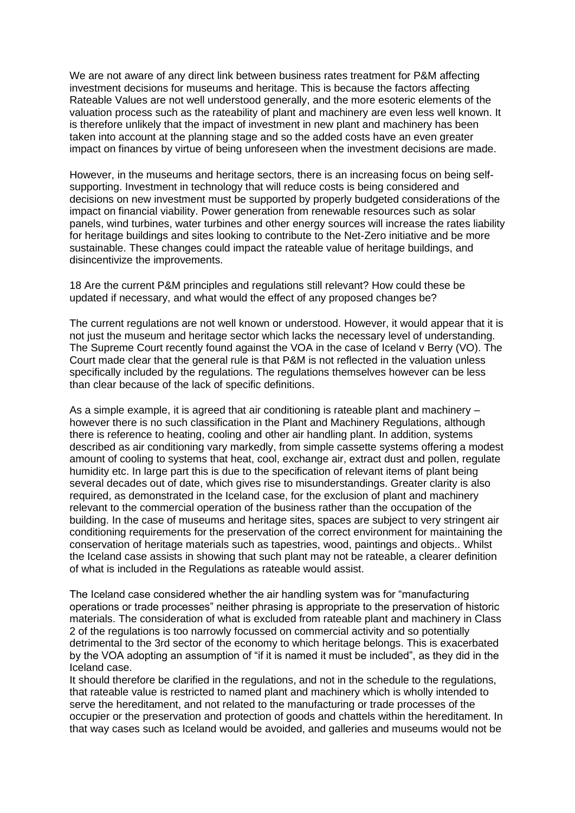We are not aware of any direct link between business rates treatment for P&M affecting investment decisions for museums and heritage. This is because the factors affecting Rateable Values are not well understood generally, and the more esoteric elements of the valuation process such as the rateability of plant and machinery are even less well known. It is therefore unlikely that the impact of investment in new plant and machinery has been taken into account at the planning stage and so the added costs have an even greater impact on finances by virtue of being unforeseen when the investment decisions are made.

However, in the museums and heritage sectors, there is an increasing focus on being selfsupporting. Investment in technology that will reduce costs is being considered and decisions on new investment must be supported by properly budgeted considerations of the impact on financial viability. Power generation from renewable resources such as solar panels, wind turbines, water turbines and other energy sources will increase the rates liability for heritage buildings and sites looking to contribute to the Net-Zero initiative and be more sustainable. These changes could impact the rateable value of heritage buildings, and disincentivize the improvements.

18 Are the current P&M principles and regulations still relevant? How could these be updated if necessary, and what would the effect of any proposed changes be?

The current regulations are not well known or understood. However, it would appear that it is not just the museum and heritage sector which lacks the necessary level of understanding. The Supreme Court recently found against the VOA in the case of Iceland v Berry (VO). The Court made clear that the general rule is that P&M is not reflected in the valuation unless specifically included by the regulations. The regulations themselves however can be less than clear because of the lack of specific definitions.

As a simple example, it is agreed that air conditioning is rateable plant and machinery – however there is no such classification in the Plant and Machinery Regulations, although there is reference to heating, cooling and other air handling plant. In addition, systems described as air conditioning vary markedly, from simple cassette systems offering a modest amount of cooling to systems that heat, cool, exchange air, extract dust and pollen, regulate humidity etc. In large part this is due to the specification of relevant items of plant being several decades out of date, which gives rise to misunderstandings. Greater clarity is also required, as demonstrated in the Iceland case, for the exclusion of plant and machinery relevant to the commercial operation of the business rather than the occupation of the building. In the case of museums and heritage sites, spaces are subject to very stringent air conditioning requirements for the preservation of the correct environment for maintaining the conservation of heritage materials such as tapestries, wood, paintings and objects.. Whilst the Iceland case assists in showing that such plant may not be rateable, a clearer definition of what is included in the Regulations as rateable would assist.

The Iceland case considered whether the air handling system was for "manufacturing operations or trade processes" neither phrasing is appropriate to the preservation of historic materials. The consideration of what is excluded from rateable plant and machinery in Class 2 of the regulations is too narrowly focussed on commercial activity and so potentially detrimental to the 3rd sector of the economy to which heritage belongs. This is exacerbated by the VOA adopting an assumption of "if it is named it must be included", as they did in the Iceland case.

It should therefore be clarified in the regulations, and not in the schedule to the regulations, that rateable value is restricted to named plant and machinery which is wholly intended to serve the hereditament, and not related to the manufacturing or trade processes of the occupier or the preservation and protection of goods and chattels within the hereditament. In that way cases such as Iceland would be avoided, and galleries and museums would not be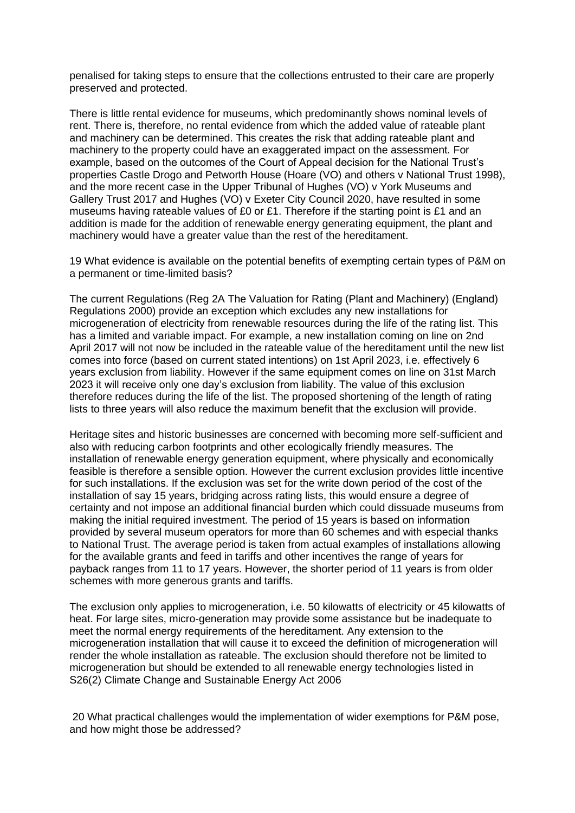penalised for taking steps to ensure that the collections entrusted to their care are properly preserved and protected.

There is little rental evidence for museums, which predominantly shows nominal levels of rent. There is, therefore, no rental evidence from which the added value of rateable plant and machinery can be determined. This creates the risk that adding rateable plant and machinery to the property could have an exaggerated impact on the assessment. For example, based on the outcomes of the Court of Appeal decision for the National Trust's properties Castle Drogo and Petworth House (Hoare (VO) and others v National Trust 1998), and the more recent case in the Upper Tribunal of Hughes (VO) v York Museums and Gallery Trust 2017 and Hughes (VO) v Exeter City Council 2020, have resulted in some museums having rateable values of £0 or £1. Therefore if the starting point is £1 and an addition is made for the addition of renewable energy generating equipment, the plant and machinery would have a greater value than the rest of the hereditament.

19 What evidence is available on the potential benefits of exempting certain types of P&M on a permanent or time-limited basis?

The current Regulations (Reg 2A The Valuation for Rating (Plant and Machinery) (England) Regulations 2000) provide an exception which excludes any new installations for microgeneration of electricity from renewable resources during the life of the rating list. This has a limited and variable impact. For example, a new installation coming on line on 2nd April 2017 will not now be included in the rateable value of the hereditament until the new list comes into force (based on current stated intentions) on 1st April 2023, i.e. effectively 6 years exclusion from liability. However if the same equipment comes on line on 31st March 2023 it will receive only one day's exclusion from liability. The value of this exclusion therefore reduces during the life of the list. The proposed shortening of the length of rating lists to three years will also reduce the maximum benefit that the exclusion will provide.

Heritage sites and historic businesses are concerned with becoming more self-sufficient and also with reducing carbon footprints and other ecologically friendly measures. The installation of renewable energy generation equipment, where physically and economically feasible is therefore a sensible option. However the current exclusion provides little incentive for such installations. If the exclusion was set for the write down period of the cost of the installation of say 15 years, bridging across rating lists, this would ensure a degree of certainty and not impose an additional financial burden which could dissuade museums from making the initial required investment. The period of 15 years is based on information provided by several museum operators for more than 60 schemes and with especial thanks to National Trust. The average period is taken from actual examples of installations allowing for the available grants and feed in tariffs and other incentives the range of years for payback ranges from 11 to 17 years. However, the shorter period of 11 years is from older schemes with more generous grants and tariffs.

The exclusion only applies to microgeneration, i.e. 50 kilowatts of electricity or 45 kilowatts of heat. For large sites, micro-generation may provide some assistance but be inadequate to meet the normal energy requirements of the hereditament. Any extension to the microgeneration installation that will cause it to exceed the definition of microgeneration will render the whole installation as rateable. The exclusion should therefore not be limited to microgeneration but should be extended to all renewable energy technologies listed in S26(2) Climate Change and Sustainable Energy Act 2006

20 What practical challenges would the implementation of wider exemptions for P&M pose, and how might those be addressed?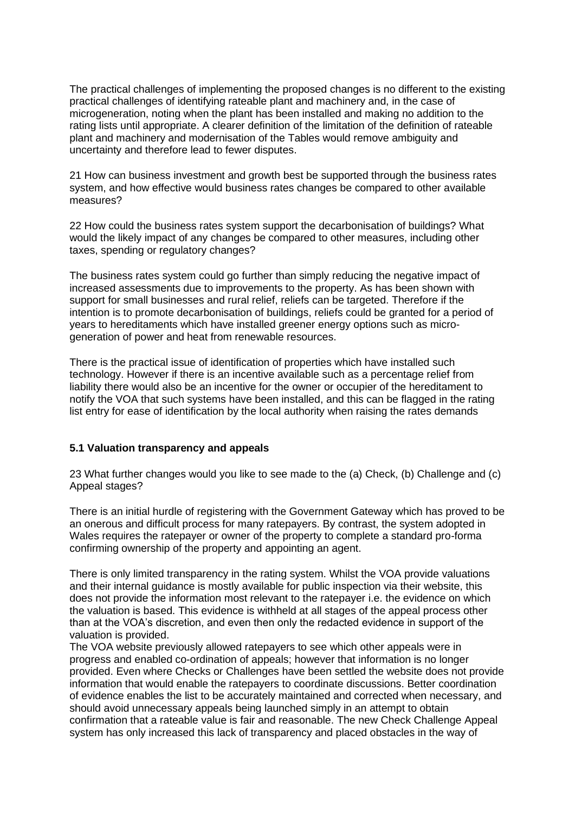The practical challenges of implementing the proposed changes is no different to the existing practical challenges of identifying rateable plant and machinery and, in the case of microgeneration, noting when the plant has been installed and making no addition to the rating lists until appropriate. A clearer definition of the limitation of the definition of rateable plant and machinery and modernisation of the Tables would remove ambiguity and uncertainty and therefore lead to fewer disputes.

21 How can business investment and growth best be supported through the business rates system, and how effective would business rates changes be compared to other available measures?

22 How could the business rates system support the decarbonisation of buildings? What would the likely impact of any changes be compared to other measures, including other taxes, spending or regulatory changes?

The business rates system could go further than simply reducing the negative impact of increased assessments due to improvements to the property. As has been shown with support for small businesses and rural relief, reliefs can be targeted. Therefore if the intention is to promote decarbonisation of buildings, reliefs could be granted for a period of years to hereditaments which have installed greener energy options such as microgeneration of power and heat from renewable resources.

There is the practical issue of identification of properties which have installed such technology. However if there is an incentive available such as a percentage relief from liability there would also be an incentive for the owner or occupier of the hereditament to notify the VOA that such systems have been installed, and this can be flagged in the rating list entry for ease of identification by the local authority when raising the rates demands

#### **5.1 Valuation transparency and appeals**

23 What further changes would you like to see made to the (a) Check, (b) Challenge and (c) Appeal stages?

There is an initial hurdle of registering with the Government Gateway which has proved to be an onerous and difficult process for many ratepayers. By contrast, the system adopted in Wales requires the ratepayer or owner of the property to complete a standard pro-forma confirming ownership of the property and appointing an agent.

There is only limited transparency in the rating system. Whilst the VOA provide valuations and their internal guidance is mostly available for public inspection via their website, this does not provide the information most relevant to the ratepayer i.e. the evidence on which the valuation is based. This evidence is withheld at all stages of the appeal process other than at the VOA's discretion, and even then only the redacted evidence in support of the valuation is provided.

The VOA website previously allowed ratepayers to see which other appeals were in progress and enabled co-ordination of appeals; however that information is no longer provided. Even where Checks or Challenges have been settled the website does not provide information that would enable the ratepayers to coordinate discussions. Better coordination of evidence enables the list to be accurately maintained and corrected when necessary, and should avoid unnecessary appeals being launched simply in an attempt to obtain confirmation that a rateable value is fair and reasonable. The new Check Challenge Appeal system has only increased this lack of transparency and placed obstacles in the way of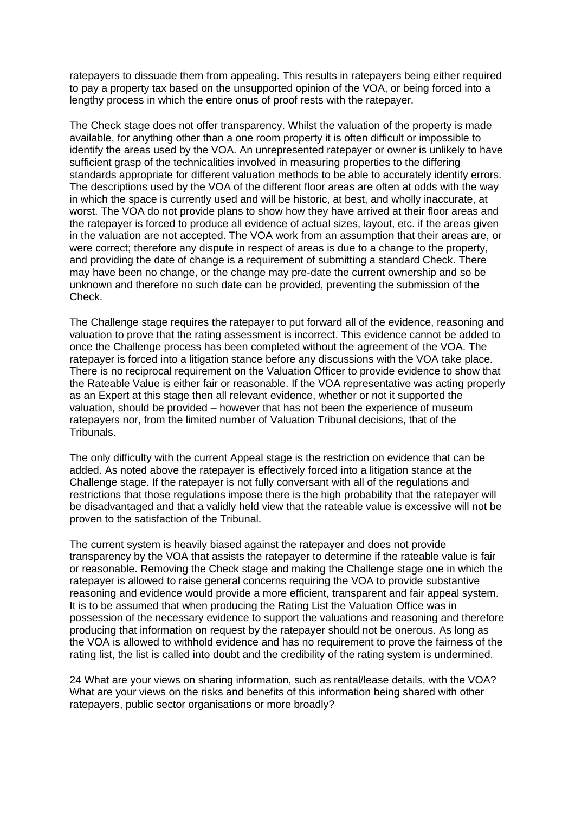ratepayers to dissuade them from appealing. This results in ratepayers being either required to pay a property tax based on the unsupported opinion of the VOA, or being forced into a lengthy process in which the entire onus of proof rests with the ratepayer.

The Check stage does not offer transparency. Whilst the valuation of the property is made available, for anything other than a one room property it is often difficult or impossible to identify the areas used by the VOA. An unrepresented ratepayer or owner is unlikely to have sufficient grasp of the technicalities involved in measuring properties to the differing standards appropriate for different valuation methods to be able to accurately identify errors. The descriptions used by the VOA of the different floor areas are often at odds with the way in which the space is currently used and will be historic, at best, and wholly inaccurate, at worst. The VOA do not provide plans to show how they have arrived at their floor areas and the ratepayer is forced to produce all evidence of actual sizes, layout, etc. if the areas given in the valuation are not accepted. The VOA work from an assumption that their areas are, or were correct; therefore any dispute in respect of areas is due to a change to the property, and providing the date of change is a requirement of submitting a standard Check. There may have been no change, or the change may pre-date the current ownership and so be unknown and therefore no such date can be provided, preventing the submission of the Check.

The Challenge stage requires the ratepayer to put forward all of the evidence, reasoning and valuation to prove that the rating assessment is incorrect. This evidence cannot be added to once the Challenge process has been completed without the agreement of the VOA. The ratepayer is forced into a litigation stance before any discussions with the VOA take place. There is no reciprocal requirement on the Valuation Officer to provide evidence to show that the Rateable Value is either fair or reasonable. If the VOA representative was acting properly as an Expert at this stage then all relevant evidence, whether or not it supported the valuation, should be provided – however that has not been the experience of museum ratepayers nor, from the limited number of Valuation Tribunal decisions, that of the Tribunals.

The only difficulty with the current Appeal stage is the restriction on evidence that can be added. As noted above the ratepayer is effectively forced into a litigation stance at the Challenge stage. If the ratepayer is not fully conversant with all of the regulations and restrictions that those regulations impose there is the high probability that the ratepayer will be disadvantaged and that a validly held view that the rateable value is excessive will not be proven to the satisfaction of the Tribunal.

The current system is heavily biased against the ratepayer and does not provide transparency by the VOA that assists the ratepayer to determine if the rateable value is fair or reasonable. Removing the Check stage and making the Challenge stage one in which the ratepayer is allowed to raise general concerns requiring the VOA to provide substantive reasoning and evidence would provide a more efficient, transparent and fair appeal system. It is to be assumed that when producing the Rating List the Valuation Office was in possession of the necessary evidence to support the valuations and reasoning and therefore producing that information on request by the ratepayer should not be onerous. As long as the VOA is allowed to withhold evidence and has no requirement to prove the fairness of the rating list, the list is called into doubt and the credibility of the rating system is undermined.

24 What are your views on sharing information, such as rental/lease details, with the VOA? What are your views on the risks and benefits of this information being shared with other ratepayers, public sector organisations or more broadly?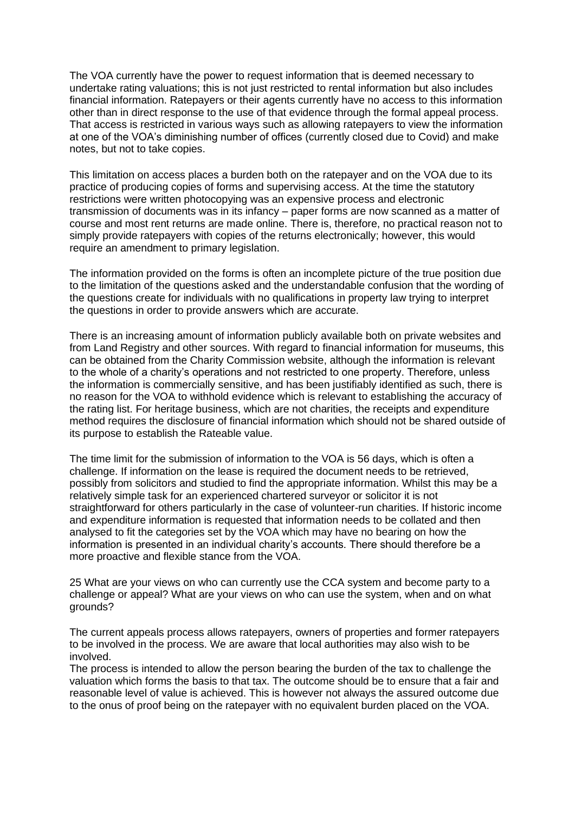The VOA currently have the power to request information that is deemed necessary to undertake rating valuations; this is not just restricted to rental information but also includes financial information. Ratepayers or their agents currently have no access to this information other than in direct response to the use of that evidence through the formal appeal process. That access is restricted in various ways such as allowing ratepayers to view the information at one of the VOA's diminishing number of offices (currently closed due to Covid) and make notes, but not to take copies.

This limitation on access places a burden both on the ratepayer and on the VOA due to its practice of producing copies of forms and supervising access. At the time the statutory restrictions were written photocopying was an expensive process and electronic transmission of documents was in its infancy – paper forms are now scanned as a matter of course and most rent returns are made online. There is, therefore, no practical reason not to simply provide ratepayers with copies of the returns electronically; however, this would require an amendment to primary legislation.

The information provided on the forms is often an incomplete picture of the true position due to the limitation of the questions asked and the understandable confusion that the wording of the questions create for individuals with no qualifications in property law trying to interpret the questions in order to provide answers which are accurate.

There is an increasing amount of information publicly available both on private websites and from Land Registry and other sources. With regard to financial information for museums, this can be obtained from the Charity Commission website, although the information is relevant to the whole of a charity's operations and not restricted to one property. Therefore, unless the information is commercially sensitive, and has been justifiably identified as such, there is no reason for the VOA to withhold evidence which is relevant to establishing the accuracy of the rating list. For heritage business, which are not charities, the receipts and expenditure method requires the disclosure of financial information which should not be shared outside of its purpose to establish the Rateable value.

The time limit for the submission of information to the VOA is 56 days, which is often a challenge. If information on the lease is required the document needs to be retrieved, possibly from solicitors and studied to find the appropriate information. Whilst this may be a relatively simple task for an experienced chartered surveyor or solicitor it is not straightforward for others particularly in the case of volunteer-run charities. If historic income and expenditure information is requested that information needs to be collated and then analysed to fit the categories set by the VOA which may have no bearing on how the information is presented in an individual charity's accounts. There should therefore be a more proactive and flexible stance from the VOA.

25 What are your views on who can currently use the CCA system and become party to a challenge or appeal? What are your views on who can use the system, when and on what grounds?

The current appeals process allows ratepayers, owners of properties and former ratepayers to be involved in the process. We are aware that local authorities may also wish to be involved.

The process is intended to allow the person bearing the burden of the tax to challenge the valuation which forms the basis to that tax. The outcome should be to ensure that a fair and reasonable level of value is achieved. This is however not always the assured outcome due to the onus of proof being on the ratepayer with no equivalent burden placed on the VOA.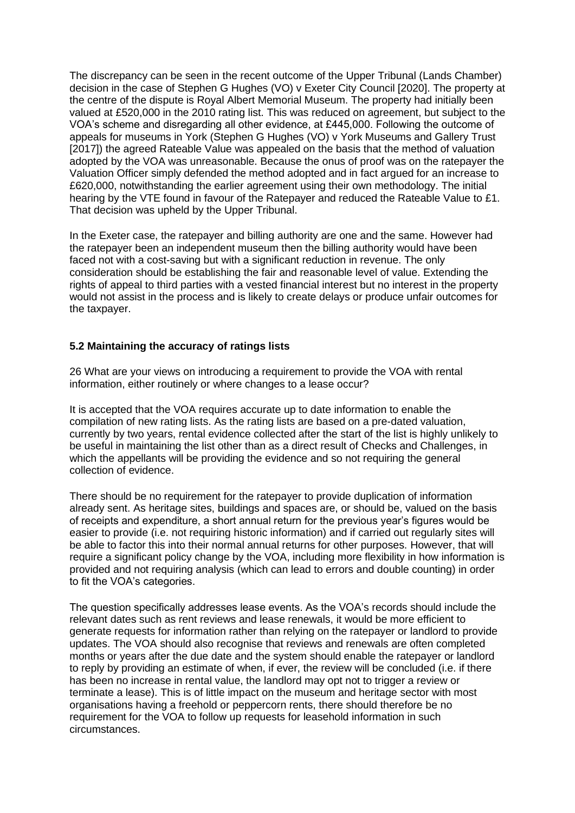The discrepancy can be seen in the recent outcome of the Upper Tribunal (Lands Chamber) decision in the case of Stephen G Hughes (VO) v Exeter City Council [2020]. The property at the centre of the dispute is Royal Albert Memorial Museum. The property had initially been valued at £520,000 in the 2010 rating list. This was reduced on agreement, but subject to the VOA's scheme and disregarding all other evidence, at £445,000. Following the outcome of appeals for museums in York (Stephen G Hughes (VO) v York Museums and Gallery Trust [2017]) the agreed Rateable Value was appealed on the basis that the method of valuation adopted by the VOA was unreasonable. Because the onus of proof was on the ratepayer the Valuation Officer simply defended the method adopted and in fact argued for an increase to £620,000, notwithstanding the earlier agreement using their own methodology. The initial hearing by the VTE found in favour of the Ratepayer and reduced the Rateable Value to £1. That decision was upheld by the Upper Tribunal.

In the Exeter case, the ratepayer and billing authority are one and the same. However had the ratepayer been an independent museum then the billing authority would have been faced not with a cost-saving but with a significant reduction in revenue. The only consideration should be establishing the fair and reasonable level of value. Extending the rights of appeal to third parties with a vested financial interest but no interest in the property would not assist in the process and is likely to create delays or produce unfair outcomes for the taxpayer.

#### **5.2 Maintaining the accuracy of ratings lists**

26 What are your views on introducing a requirement to provide the VOA with rental information, either routinely or where changes to a lease occur?

It is accepted that the VOA requires accurate up to date information to enable the compilation of new rating lists. As the rating lists are based on a pre-dated valuation, currently by two years, rental evidence collected after the start of the list is highly unlikely to be useful in maintaining the list other than as a direct result of Checks and Challenges, in which the appellants will be providing the evidence and so not requiring the general collection of evidence.

There should be no requirement for the ratepayer to provide duplication of information already sent. As heritage sites, buildings and spaces are, or should be, valued on the basis of receipts and expenditure, a short annual return for the previous year's figures would be easier to provide (i.e. not requiring historic information) and if carried out regularly sites will be able to factor this into their normal annual returns for other purposes. However, that will require a significant policy change by the VOA, including more flexibility in how information is provided and not requiring analysis (which can lead to errors and double counting) in order to fit the VOA's categories.

The question specifically addresses lease events. As the VOA's records should include the relevant dates such as rent reviews and lease renewals, it would be more efficient to generate requests for information rather than relying on the ratepayer or landlord to provide updates. The VOA should also recognise that reviews and renewals are often completed months or years after the due date and the system should enable the ratepayer or landlord to reply by providing an estimate of when, if ever, the review will be concluded (i.e. if there has been no increase in rental value, the landlord may opt not to trigger a review or terminate a lease). This is of little impact on the museum and heritage sector with most organisations having a freehold or peppercorn rents, there should therefore be no requirement for the VOA to follow up requests for leasehold information in such circumstances.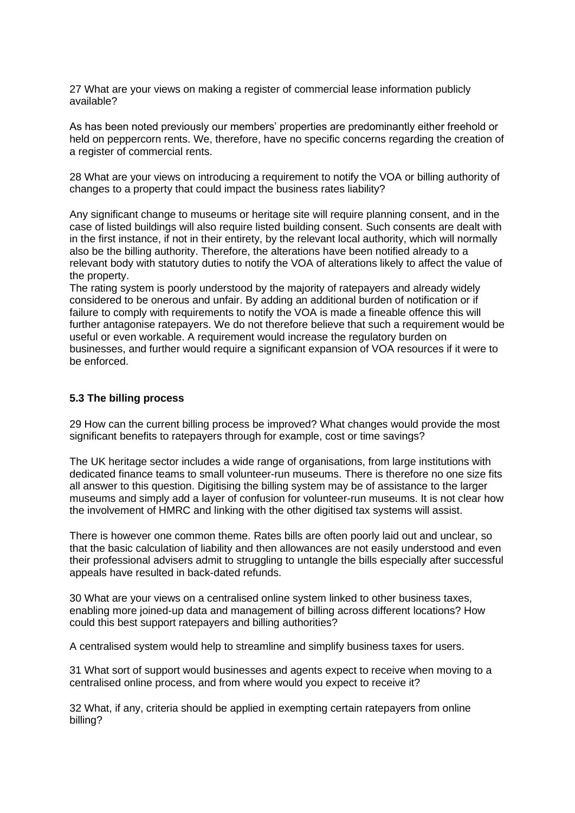27 What are your views on making a register of commercial lease information publicly available?

As has been noted previously our members' properties are predominantly either freehold or held on peppercorn rents. We, therefore, have no specific concerns regarding the creation of a register of commercial rents.

28 What are your views on introducing a requirement to notify the VOA or billing authority of changes to a property that could impact the business rates liability?

Any significant change to museums or heritage site will require planning consent, and in the case of listed buildings will also require listed building consent. Such consents are dealt with in the first instance, if not in their entirety, by the relevant local authority, which will normally also be the billing authority. Therefore, the alterations have been notified already to a relevant body with statutory duties to notify the VOA of alterations likely to affect the value of the property.

The rating system is poorly understood by the majority of ratepayers and already widely considered to be onerous and unfair. By adding an additional burden of notification or if failure to comply with requirements to notify the VOA is made a fineable offence this will further antagonise ratepayers. We do not therefore believe that such a requirement would be useful or even workable. A requirement would increase the regulatory burden on businesses, and further would require a significant expansion of VOA resources if it were to be enforced.

#### **5.3 The billing process**

29 How can the current billing process be improved? What changes would provide the most significant benefits to ratepayers through for example, cost or time savings?

The UK heritage sector includes a wide range of organisations, from large institutions with dedicated finance teams to small volunteer-run museums. There is therefore no one size fits all answer to this question. Digitising the billing system may be of assistance to the larger museums and simply add a layer of confusion for volunteer-run museums. It is not clear how the involvement of HMRC and linking with the other digitised tax systems will assist.

There is however one common theme. Rates bills are often poorly laid out and unclear, so that the basic calculation of liability and then allowances are not easily understood and even their professional advisers admit to struggling to untangle the bills especially after successful appeals have resulted in back-dated refunds.

30 What are your views on a centralised online system linked to other business taxes, enabling more joined-up data and management of billing across different locations? How could this best support ratepayers and billing authorities?

A centralised system would help to streamline and simplify business taxes for users.

31 What sort of support would businesses and agents expect to receive when moving to a centralised online process, and from where would you expect to receive it?

32 What, if any, criteria should be applied in exempting certain ratepayers from online billing?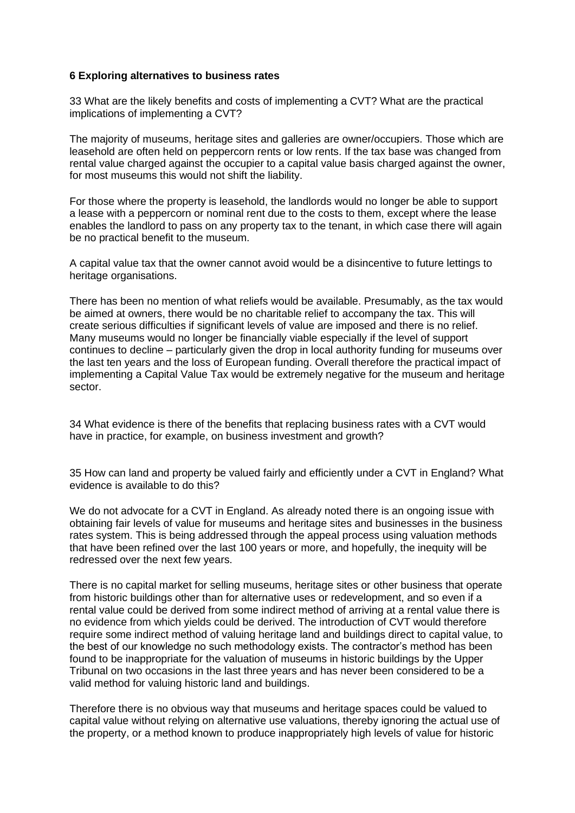#### **6 Exploring alternatives to business rates**

33 What are the likely benefits and costs of implementing a CVT? What are the practical implications of implementing a CVT?

The majority of museums, heritage sites and galleries are owner/occupiers. Those which are leasehold are often held on peppercorn rents or low rents. If the tax base was changed from rental value charged against the occupier to a capital value basis charged against the owner, for most museums this would not shift the liability.

For those where the property is leasehold, the landlords would no longer be able to support a lease with a peppercorn or nominal rent due to the costs to them, except where the lease enables the landlord to pass on any property tax to the tenant, in which case there will again be no practical benefit to the museum.

A capital value tax that the owner cannot avoid would be a disincentive to future lettings to heritage organisations.

There has been no mention of what reliefs would be available. Presumably, as the tax would be aimed at owners, there would be no charitable relief to accompany the tax. This will create serious difficulties if significant levels of value are imposed and there is no relief. Many museums would no longer be financially viable especially if the level of support continues to decline – particularly given the drop in local authority funding for museums over the last ten years and the loss of European funding. Overall therefore the practical impact of implementing a Capital Value Tax would be extremely negative for the museum and heritage sector.

34 What evidence is there of the benefits that replacing business rates with a CVT would have in practice, for example, on business investment and growth?

35 How can land and property be valued fairly and efficiently under a CVT in England? What evidence is available to do this?

We do not advocate for a CVT in England. As already noted there is an ongoing issue with obtaining fair levels of value for museums and heritage sites and businesses in the business rates system. This is being addressed through the appeal process using valuation methods that have been refined over the last 100 years or more, and hopefully, the inequity will be redressed over the next few years.

There is no capital market for selling museums, heritage sites or other business that operate from historic buildings other than for alternative uses or redevelopment, and so even if a rental value could be derived from some indirect method of arriving at a rental value there is no evidence from which yields could be derived. The introduction of CVT would therefore require some indirect method of valuing heritage land and buildings direct to capital value, to the best of our knowledge no such methodology exists. The contractor's method has been found to be inappropriate for the valuation of museums in historic buildings by the Upper Tribunal on two occasions in the last three years and has never been considered to be a valid method for valuing historic land and buildings.

Therefore there is no obvious way that museums and heritage spaces could be valued to capital value without relying on alternative use valuations, thereby ignoring the actual use of the property, or a method known to produce inappropriately high levels of value for historic